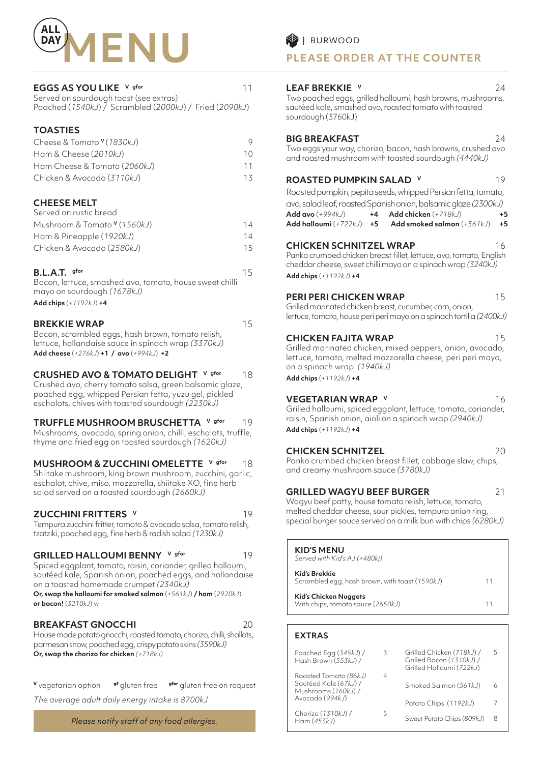

# **EGGS AS YOU LIKE** V gfor 11

| Served on sourdough toast (see extras) |                                                        |  |
|----------------------------------------|--------------------------------------------------------|--|
|                                        | Poached (1540kJ) / Scrambled (2000kJ) / Fried (2090kJ) |  |

# **TOASTIES**

| Cheese & Tomato <sup>v</sup> (1830kJ) |    |
|---------------------------------------|----|
| Ham & Cheese (2010kJ)                 | 10 |
| Ham Cheese & Tomato (2060kJ)          | 11 |
| Chicken & Avocado (3110kJ)            | 13 |

# **CHEESE MELT**

| Served on rustic bread       |     |
|------------------------------|-----|
| Mushroom & Tomato V (1560kJ) | 14  |
| Ham & Pineapple (1920kJ)     | 14  |
| Chicken & Avocado (2580kJ)   | 15. |
|                              |     |

# **B.L.A.T.** gfor 15

Bacon, lettuce, smashed avo, tomato, house sweet chilli mayo on sourdough *(1678kJ)*  **Add chips** (*+1192kJ*) **+4**

# **BREKKIE WRAP** 15

Bacon, scrambled eggs, hash brown, tomato relish, lettuce, hollandaise sauce in spinach wrap *(3370kJ)* **Add cheese** (*+276kJ*) **+1 / avo** (*+994kJ*) **+2**

# **CRUSHED AVO & TOMATO DELIGHT** V gfor 18

Crushed avo, cherry tomato salsa, green balsamic glaze, poached egg, whipped Persian fetta, yuzu gel, pickled eschalots, chives with toasted sourdough *(2230kJ)*

**TRUFFLE MUSHROOM BRUSCHETTA** V gfor 19 Mushrooms, avocado, spring onion, chilli, eschalots, truffle, thyme and fried egg on toasted sourdough *(1620kJ)*

# **MUSHROOM & ZUCCHINI OMELETTE** V gfor 18

Shiitake mushroom, king brown mushroom, zucchini, garlic, eschalot, chive, miso, mozzarella, shiitake XO, fine herb salad served on a toasted sourdough *(2660kJ)*

# **ZUCCHINI FRITTERS V** 19

Tempura zucchini fritter, tomato & avocado salsa, tomato relish, tzatziki, poached egg, fine herb & radish salad *(1230kJ)*

# **GRILLED HALLOUMI BENNY** V gfor 19

Spiced eggplant, tomato, raisin, coriander, grilled halloumi, sautéed kale, Spanish onion, poached eggs, and hollandaise on a toasted homemade crumpet *(2340kJ)*

**Or, swap the halloumi for smoked salmon** (*+561kJ*) **/ ham** (*2920kJ*) **or bacon!** (*3210kJ*) w

# **BREAKFAST GNOCCHI** 20

House made potato gnocchi, roasted tomato, chorizo, chilli, shallots, parmesan snow, poached egg, crispy potato skins *(3590kJ)*  **Or, swap the chorizo for chicken** *(+718kJ)*

**<sup>V</sup>** vegetarian option **gf** gluten free **gfor** gluten free on request

*The average adult daily energy intake is 8700kJ*

*Please notify staff of any food allergies.*

**PLEASE ORDER AT THE COUNTER**

# **LEAF BREKKIE v** 24

Two poached eggs, grilled halloumi, hash browns, mushrooms, sautéed kale, smashed avo, roasted tomato with toasted sourdough (3760kJ)

# **BIG BREAKFAST** 24

Two eggs your way, chorizo, bacon, hash browns, crushed avo and roasted mushroom with toasted sourdough *(4440kJ)*

# **ROASTED PUMPKIN SALAD V** 19

Roasted pumpkin, pepita seeds, whipped Persian fetta, tomato, avo, salad leaf, roasted Spanish onion, balsamic glaze *(2300kJ)* **Add avo** (*+994kJ*) **+4 Add chicken** (*+718kJ*) **+5 Add halloumi** (*+722kJ*) **+5 Add smoked salmon** (*+561kJ*) **+5**

# **CHICKEN SCHNITZEL WRAP** 16

Panko crumbed chicken breast fillet, lettuce, avo, tomato, English cheddar cheese, sweet chilli mayo on a spinach wrap *(3240kJ)*  **Add chips** (*+1192kJ*) **+4**

# **PERI PERI CHICKEN WRAP** 15

Grilled marinated chicken breast, cucumber, corn, onion, lettuce, tomato, house peri peri mayo on a spinach tortilla *(2400kJ)* 

# **CHICKEN FAJITA WRAP** 15

Grilled marinated chicken, mixed peppers, onion, avocado, lettuce, tomato, melted mozzarella cheese, peri peri mayo, on a spinach wrap *(1940kJ)*

**Add chips** (*+1192kJ*) **+4**

# **VEGETARIAN WRAP V** 16

Grilled halloumi, spiced eggplant, lettuce, tomato, coriander, raisin, Spanish onion, aioli on a spinach wrap *(2940kJ)*  **Add chips** (*+1192kJ*) **+4**

# **CHICKEN SCHNITZEL** 20

Panko crumbed chicken breast fillet, cabbage slaw, chips, and creamy mushroom sauce *(3780kJ)* 

# **GRILLED WAGYU BEEF BURGER** 21

Wagyu beef patty, house tomato relish, lettuce, tomato, melted cheddar cheese, sour pickles, tempura onion ring, special burger sauce served on a milk bun with chips *(6280kJ)* 

## **KID'S MENU**  *Served with Kid's AJ (+480kj)*

| $JCI$ vea willing the state in the set of $I$<br>Kid's Brekkie<br>Scrambled egg, hash brown, with toast (1590kJ) | 11 |
|------------------------------------------------------------------------------------------------------------------|----|
| <b>Kid's Chicken Nuggets</b><br>With chips, tomato sauce (2650kJ)                                                | 11 |

# **EXTRAS**

| Poached Egg (345kJ) /<br>Hash Brown (553kJ) /                         | 3 | Grilled Chicken (718kJ) /<br>Grilled Bacon (1310kJ) /<br>Grilled Halloumi (722kJ) | 5 |
|-----------------------------------------------------------------------|---|-----------------------------------------------------------------------------------|---|
| Roasted Tomato (86kJ)<br>Sautéed Kale (67kJ) /<br>Mushrooms (160kJ) / | 4 | Smoked Salmon (561kJ)                                                             | 6 |
| Avocado (994kJ)                                                       |   | Potato Chips (1192kJ)                                                             |   |
| Chorizo (1310kJ) /<br>Ham(453kJ)                                      | 5 | Sweet Potato Chips (809kJ)                                                        | 8 |